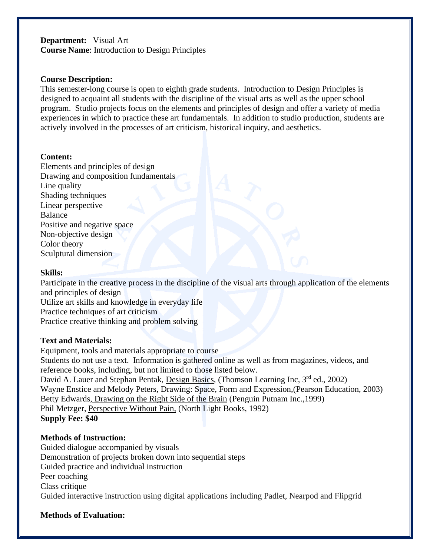# **Department:** Visual Art **Course Name**: Introduction to Design Principles

### **Course Description:**

This semester-long course is open to eighth grade students. Introduction to Design Principles is designed to acquaint all students with the discipline of the visual arts as well as the upper school program. Studio projects focus on the elements and principles of design and offer a variety of media experiences in which to practice these art fundamentals. In addition to studio production, students are actively involved in the processes of art criticism, historical inquiry, and aesthetics.

#### **Content:**

Elements and principles of design Drawing and composition fundamentals Line quality Shading techniques Linear perspective Balance Positive and negative space Non-objective design Color theory Sculptural dimension

#### **Skills:**

Participate in the creative process in the discipline of the visual arts through application of the elements and principles of design Utilize art skills and knowledge in everyday life Practice techniques of art criticism

Practice creative thinking and problem solving

### **Text and Materials:**

Equipment, tools and materials appropriate to course Students do not use a text. Information is gathered online as well as from magazines, videos, and reference books, including, but not limited to those listed below. David A. Lauer and Stephan Pentak, Design Basics, (Thomson Learning Inc, 3<sup>rd</sup> ed., 2002) Wayne Enstice and Melody Peters, Drawing: Space, Form and Expression,(Pearson Education, 2003) Betty Edwards, Drawing on the Right Side of the Brain (Penguin Putnam Inc.,1999) Phil Metzger, Perspective Without Pain, (North Light Books, 1992) **Supply Fee: \$40**

# **Methods of Instruction:**

Guided dialogue accompanied by visuals Demonstration of projects broken down into sequential steps Guided practice and individual instruction Peer coaching Class critique Guided interactive instruction using digital applications including Padlet, Nearpod and Flipgrid

### **Methods of Evaluation:**